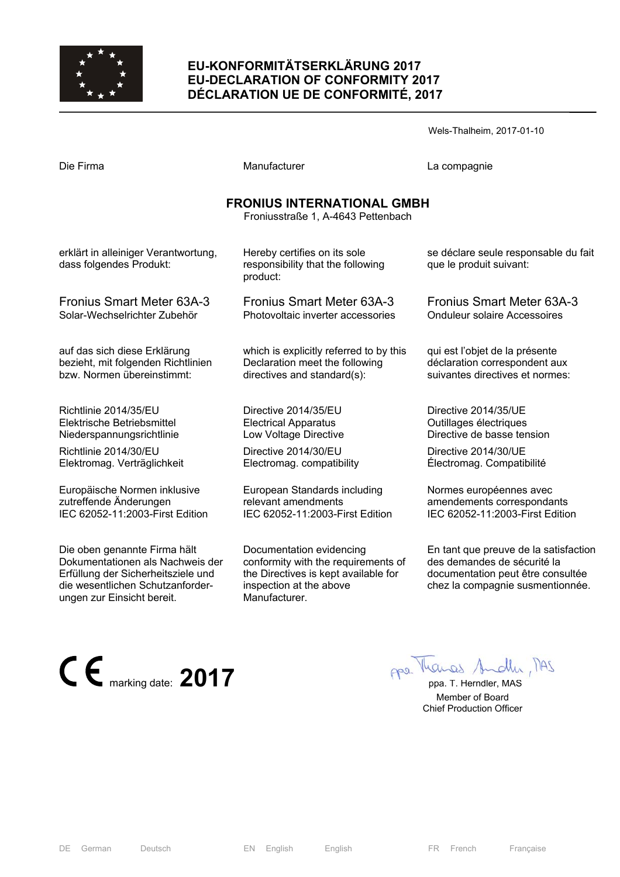

# **EU-KONFORMITÄTSERKLÄRUNG 2017 EU-DECLARATION OF CONFORMITY 2017 DÉCLARATION UE DE CONFORMITÉ, 2017**

|                                                                 |                                                                               | Wels-Thalheim, 2017-01-10                                       |
|-----------------------------------------------------------------|-------------------------------------------------------------------------------|-----------------------------------------------------------------|
| Die Firma                                                       | Manufacturer                                                                  | La compagnie                                                    |
|                                                                 | <b>FRONIUS INTERNATIONAL GMBH</b><br>Froniusstraße 1, A-4643 Pettenbach       |                                                                 |
| erklärt in alleiniger Verantwortung,<br>dass folgendes Produkt: | Hereby certifies on its sole<br>responsibility that the following<br>product: | se déclare seule responsable du fait<br>que le produit suivant: |
| <b>Fronius Smart Meter 63A-3</b>                                | <b>Fronius Smart Meter 63A-3</b>                                              | Fronius Smart Meter 63A-3                                       |
| Solar-Wechselrichter Zubehör                                    | Photovoltaic inverter accessories                                             | <b>Onduleur solaire Accessoires</b>                             |
| auf das sich diese Erklärung                                    | which is explicitly referred to by this                                       | qui est l'objet de la présente                                  |
| bezieht, mit folgenden Richtlinien                              | Declaration meet the following                                                | déclaration correspondent aux                                   |
| bzw. Normen übereinstimmt:                                      | directives and standard(s):                                                   | suivantes directives et normes:                                 |
| Richtlinie 2014/35/EU                                           | Directive 2014/35/EU                                                          | Directive 2014/35/UE                                            |
| Elektrische Betriebsmittel                                      | <b>Electrical Apparatus</b>                                                   | Outillages électriques                                          |
| Niederspannungsrichtlinie                                       | Low Voltage Directive                                                         | Directive de basse tension                                      |
| Richtlinie 2014/30/EU                                           | Directive 2014/30/EU                                                          | Directive 2014/30/UE                                            |
| Elektromag. Verträglichkeit                                     | Electromag. compatibility                                                     | Électromag. Compatibilité                                       |
| Europäische Normen inklusive                                    | European Standards including                                                  | Normes européennes avec                                         |
| zutreffende Änderungen                                          | relevant amendments                                                           | amendements correspondants                                      |
| IEC 62052-11:2003-First Edition                                 | IEC 62052-11:2003-First Edition                                               | IEC 62052-11:2003-First Edition                                 |

Die oben genannte Firma hält Dokumentationen als Nachweis der Erfüllung der Sicherheitsziele und die wesentlichen Schutzanforderungen zur Einsicht bereit.

Documentation evidencing conformity with the requirements of the Directives is kept available for inspection at the above Manufacturer.

En tant que preuve de la satisfaction des demandes de sécurité la documentation peut être consultée chez la compagnie susmentionnée.

**CE** marking date: **2017 ppa.** The Manual Andly Mas

 Member of Board Chief Production Officer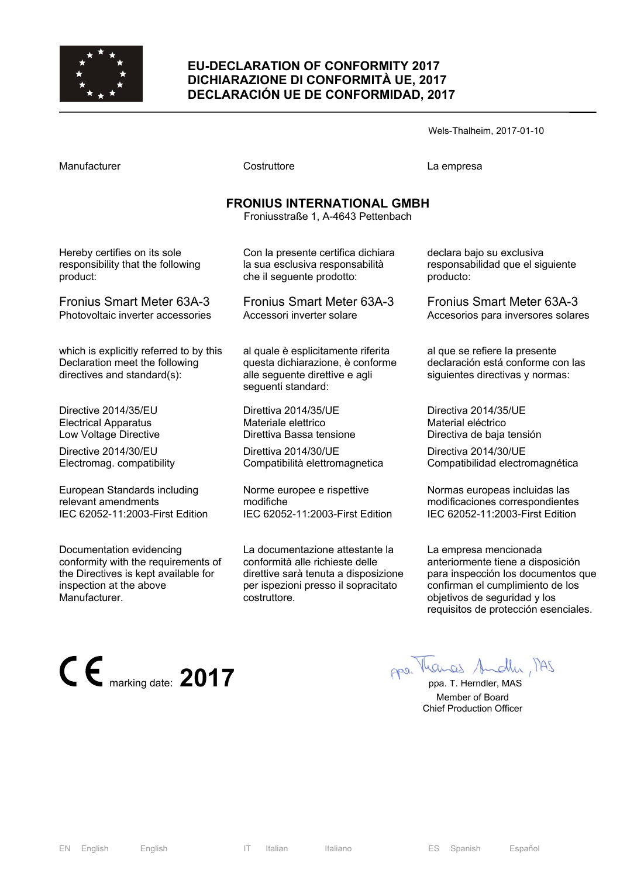

## **EU-DECLARATION OF CONFORMITY 2017 DICHIARAZIONE DI CONFORMITÀ UE, 2017 DECLARACIÓN UE DE CONFORMIDAD, 2017**

Wels-Thalheim, 2017-01-10

Manufacturer Costruttore La empresa

# **FRONIUS INTERNATIONAL GMBH**

Froniusstraße 1, A-4643 Pettenbach

Hereby certifies on its sole responsibility that the following product:

Fronius Smart Meter 63A-3 Photovoltaic inverter accessories

which is explicitly referred to by this Declaration meet the following directives and standard(s):

Directive 2014/35/EU Electrical Apparatus Low Voltage Directive

Directive 2014/30/EU Electromag. compatibility

European Standards including relevant amendments IEC 62052-11:2003-First Edition

Documentation evidencing conformity with the requirements of the Directives is kept available for inspection at the above Manufacturer.

che il seguente prodotto: Fronius Smart Meter 63A-3

Con la presente certifica dichiara la sua esclusiva responsabilità

Accessori inverter solare

al quale è esplicitamente riferita questa dichiarazione, è conforme alle seguente direttive e agli seguenti standard:

Direttiva 2014/35/UE Materiale elettrico Direttiva Bassa tensione

Direttiva 2014/30/UE Compatibilità elettromagnetica

Norme europee e rispettive modifiche IEC 62052-11:2003-First Edition

La documentazione attestante la conformità alle richieste delle direttive sarà tenuta a disposizione per ispezioni presso il sopracitato costruttore.

declara bajo su exclusiva responsabilidad que el siguiente producto:

Fronius Smart Meter 63A-3 Accesorios para inversores solares

al que se refiere la presente declaración está conforme con las siguientes directivas y normas:

Directiva 2014/35/UE Material eléctrico Directiva de baja tensión

Directiva 2014/30/UE Compatibilidad electromagnética

Normas europeas incluidas las modificaciones correspondientes IEC 62052-11:2003-First Edition

La empresa mencionada anteriormente tiene a disposición para inspección los documentos que confirman el cumplimiento de los objetivos de seguridad y los requisitos de protección esenciales.

**CE** marking date: **2017 ppa.** T. Herndler, MAS

 Member of Board Chief Production Officer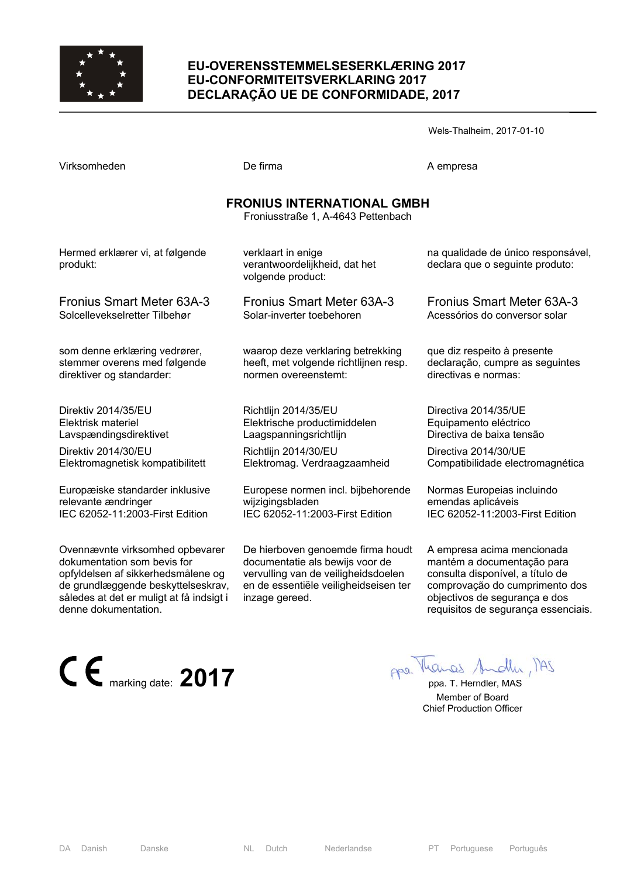

## **EU-OVERENSSTEMMELSESERKLÆRING 2017 EU-CONFORMITEITSVERKLARING 2017 DECLARAÇÃO UE DE CONFORMIDADE, 2017**

| Virksomheden                                                                                                                                                                                                   | De firma                                                                                                                                                               | A empresa                                                                                                                                                                                              |  |
|----------------------------------------------------------------------------------------------------------------------------------------------------------------------------------------------------------------|------------------------------------------------------------------------------------------------------------------------------------------------------------------------|--------------------------------------------------------------------------------------------------------------------------------------------------------------------------------------------------------|--|
| <b>FRONIUS INTERNATIONAL GMBH</b><br>Froniusstraße 1, A-4643 Pettenbach                                                                                                                                        |                                                                                                                                                                        |                                                                                                                                                                                                        |  |
| Hermed erklærer vi, at følgende<br>produkt:                                                                                                                                                                    | verklaart in enige<br>verantwoordelijkheid, dat het<br>volgende product:                                                                                               | na qualidade de único responsável,<br>declara que o seguinte produto:                                                                                                                                  |  |
| <b>Fronius Smart Meter 63A-3</b>                                                                                                                                                                               | Fronius Smart Meter 63A-3                                                                                                                                              | <b>Fronius Smart Meter 63A-3</b>                                                                                                                                                                       |  |
| Solcellevekselretter Tilbehør                                                                                                                                                                                  | Solar-inverter toebehoren                                                                                                                                              | Acessórios do conversor solar                                                                                                                                                                          |  |
| som denne erklæring vedrører,                                                                                                                                                                                  | waarop deze verklaring betrekking                                                                                                                                      | que diz respeito à presente                                                                                                                                                                            |  |
| stemmer overens med følgende                                                                                                                                                                                   | heeft, met volgende richtlijnen resp.                                                                                                                                  | declaração, cumpre as seguintes                                                                                                                                                                        |  |
| direktiver og standarder:                                                                                                                                                                                      | normen overeenstemt:                                                                                                                                                   | directivas e normas:                                                                                                                                                                                   |  |
| Direktiv 2014/35/EU                                                                                                                                                                                            | Richtlijn 2014/35/EU                                                                                                                                                   | Directiva 2014/35/UE                                                                                                                                                                                   |  |
| Elektrisk materiel                                                                                                                                                                                             | Elektrische productimiddelen                                                                                                                                           | Equipamento eléctrico                                                                                                                                                                                  |  |
| Lavspændingsdirektivet                                                                                                                                                                                         | Laagspanningsrichtlijn                                                                                                                                                 | Directiva de baixa tensão                                                                                                                                                                              |  |
| Direktiv 2014/30/EU                                                                                                                                                                                            | Richtlijn 2014/30/EU                                                                                                                                                   | Directiva 2014/30/UE                                                                                                                                                                                   |  |
| Elektromagnetisk kompatibilitett                                                                                                                                                                               | Elektromag. Verdraagzaamheid                                                                                                                                           | Compatibilidade electromagnética                                                                                                                                                                       |  |
| Europæiske standarder inklusive                                                                                                                                                                                | Europese normen incl. bijbehorende                                                                                                                                     | Normas Europeias incluindo                                                                                                                                                                             |  |
| relevante ændringer                                                                                                                                                                                            | wijzigingsbladen                                                                                                                                                       | emendas aplicáveis                                                                                                                                                                                     |  |
| IEC 62052-11:2003-First Edition                                                                                                                                                                                | IEC 62052-11:2003-First Edition                                                                                                                                        | IEC 62052-11:2003-First Edition                                                                                                                                                                        |  |
| Ovennævnte virksomhed opbevarer<br>dokumentation som bevis for<br>opfyldelsen af sikkerhedsmålene og<br>de grundlæggende beskyttelseskrav,<br>således at det er muligt at få indsigt i<br>denne dokumentation. | De hierboven genoemde firma houdt<br>documentatie als bewijs voor de<br>vervulling van de veiligheidsdoelen<br>en de essentiële veiligheidseisen ter<br>inzage gereed. | A empresa acima mencionada<br>mantém a documentação para<br>consulta disponível, a título de<br>comprovação do cumprimento dos<br>objectivos de segurança e dos<br>requisitos de segurança essenciais. |  |



 Member of Board Chief Production Officer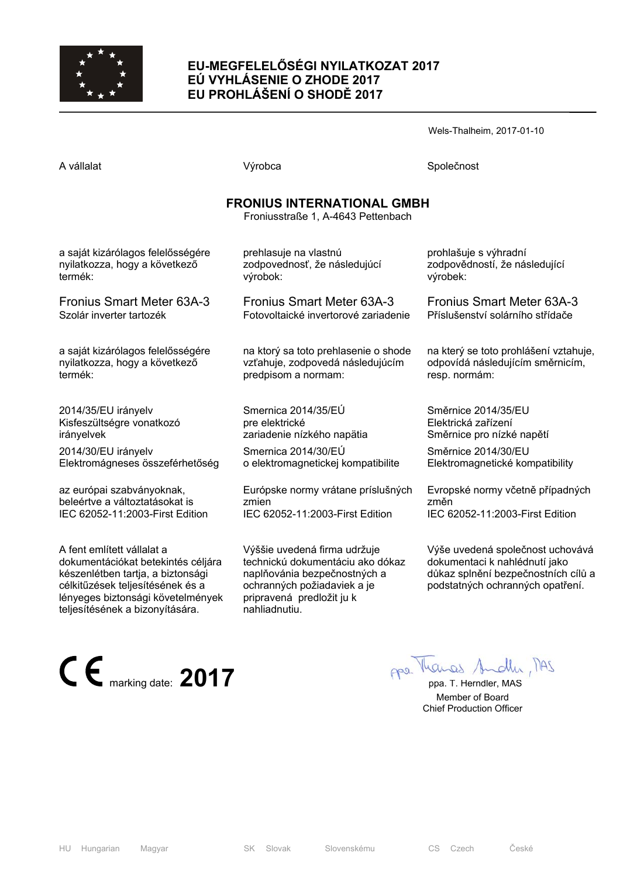

# **EU-MEGFELELŐSÉGI NYILATKOZAT 2017 EÚ VYHLÁSENIE O ZHODE 2017 EU PROHLÁŠENÍ O SHODĚ 2017**

Wels-Thalheim, 2017-01-10

| A vállalat                        | Výrobca                                                                 | Společnost                   |
|-----------------------------------|-------------------------------------------------------------------------|------------------------------|
|                                   | <b>FRONIUS INTERNATIONAL GMBH</b><br>Froniusstraße 1, A-4643 Pettenbach |                              |
| a saját kizárólagos felelősségére | prehlasuje na vlastnú                                                   | prohlašuje s výhradní        |
| nyilatkozza, hogy a következő     | zodpovednosť, že následujúcí                                            | zodpovědností, že následu    |
| termék:                           | výrobok:                                                                | výrobek:                     |
| <b>Fronius Smart Meter 63A-3</b>  | <b>Fronius Smart Meter 63A-3</b>                                        | <b>Fronius Smart Meter 6</b> |
| Szolár inverter tartozék          | Fotovoltaické invertorové zariadenie                                    | Příslušenství solárního stří |
| a saját kizárólagos felelősségére | na ktorý sa toto prehlasenie o shode                                    | na který se toto prohlášení  |
| nyilatkozza, hogy a következő     | vzťahuje, zodpovedá následujúcím                                        | odpovídá následujícím smě    |
| termék:                           | predpisom a normam:                                                     | resp. normám:                |
| 2014/35/EU irányelv               | Smernica 2014/35/EÚ                                                     | Směrnice 2014/35/EU          |
| Kisfeszültségre vonatkozó         | pre elektrické                                                          | Elektrická zařízení          |
| irányelvek                        | zariadenie nízkého napätia                                              | Směrnice pro nízké napětí    |
| 2014/30/EU irányelv               | Smernica 2014/30/EU                                                     | Směrnice 2014/30/EU          |
| Elektromágneses összeférhetőség   | o elektromagnetickej kompatibilite                                      | Elektromagnetické kompati    |

az európai szabványoknak, beleértve a változtatásokat is IEC 62052-11:2003-First Edition

A fent említett vállalat a dokumentációkat betekintés céljára készenlétben tartja, a biztonsági célkitűzések teljesítésének és a lényeges biztonsági követelmények teljesítésének a bizonyítására.

Výššie uvedená firma udržuje technickú dokumentáciu ako dókaz naplňovánia bezpečnostných a ochranných požiadaviek a je pripravená predložit ju k nahliadnutiu.

IEC 62052-11:2003-First Edition

Európske normy vrátane príslušných

zmien

ující

63A-3 fdače

í vztahuje,  $e^{\frac{i}{2}}$ něrnicím.

**Elektron** 

Evropské normy včetně případných změn IEC 62052-11:2003-First Edition

Výše uvedená společnost uchovává dokumentaci k nahlédnutí jako důkaz splnění bezpečnostních cílů a podstatných ochranných opatření.

**CE** marking date: **2017 ppa.** Marcas Andly MAS

 Member of Board Chief Production Officer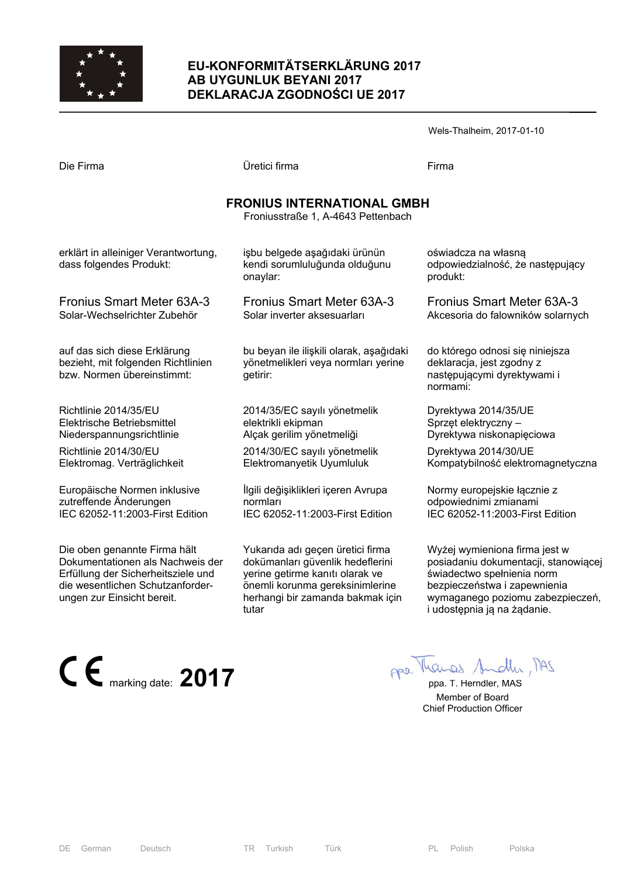

# **EU-KONFORMITÄTSERKLÄRUNG 2017 AB UYGUNLUK BEYANI 2017 DEKLARACJA ZGODNOŚCI UE 2017**

|                                                                                                  |                                                                                            | Wels-Thalheim, 2017-01-10                                                                               |
|--------------------------------------------------------------------------------------------------|--------------------------------------------------------------------------------------------|---------------------------------------------------------------------------------------------------------|
| Die Firma                                                                                        | Üretici firma                                                                              | Firma                                                                                                   |
|                                                                                                  | <b>FRONIUS INTERNATIONAL GMBH</b><br>Froniusstraße 1, A-4643 Pettenbach                    |                                                                                                         |
| erklärt in alleiniger Verantwortung,<br>dass folgendes Produkt:                                  | işbu belgede aşağıdaki ürünün<br>kendi sorumluluğunda olduğunu<br>onaylar:                 | oświadcza na własną<br>odpowiedzialność, że następujący<br>produkt:                                     |
| Fronius Smart Meter 63A-3                                                                        | <b>Fronius Smart Meter 63A-3</b>                                                           | <b>Fronius Smart Meter 63A-3</b>                                                                        |
| Solar-Wechselrichter Zubehör                                                                     | Solar inverter aksesuarları                                                                | Akcesoria do falowników solarnych                                                                       |
| auf das sich diese Erklärung<br>bezieht, mit folgenden Richtlinien<br>bzw. Normen übereinstimmt: | bu beyan ile ilişkili olarak, aşağıdaki<br>yönetmelikleri veya normları yerine<br>getirir: | do którego odnosi się niniejsza<br>deklaracja, jest zgodny z<br>następującymi dyrektywami i<br>normami: |
| Richtlinie 2014/35/EU                                                                            | 2014/35/EC sayılı yönetmelik                                                               | Dyrektywa 2014/35/UE                                                                                    |
| Elektrische Betriebsmittel                                                                       | elektrikli ekipman                                                                         | Sprzęt elektryczny –                                                                                    |
| Niederspannungsrichtlinie                                                                        | Alçak gerilim yönetmeliği                                                                  | Dyrektywa niskonapięciowa                                                                               |
| Richtlinie 2014/30/EU                                                                            | 2014/30/EC sayılı yönetmelik                                                               | Dyrektywa 2014/30/UE                                                                                    |
| Elektromag. Verträglichkeit                                                                      | Elektromanyetik Uyumluluk                                                                  | Kompatybilność elektromagnetyczna                                                                       |
| Europäische Normen inklusive                                                                     | İlgili değişiklikleri içeren Avrupa                                                        | Normy europejskie łącznie z                                                                             |
| zutreffende Änderungen                                                                           | normları                                                                                   | odpowiednimi zmianami                                                                                   |
| IEC 62052-11:2003-First Edition                                                                  | IEC 62052-11:2003-First Edition                                                            | IEC 62052-11:2003-First Edition                                                                         |
| Die oben genannte Firma hält                                                                     | Yukarıda adı geçen üretici firma                                                           | Wyżej wymieniona firma jest w                                                                           |
| Dokumentationen als Nachweis der                                                                 | dokümanları güvenlik hedeflerini                                                           | posiadaniu dokumentacji, stanowiącej                                                                    |

yerine getirme kanıtı olarak ve önemli korunma gereksinimlerine herhangi bir zamanda bakmak için

tutar

Dokumentationen als Nachweis der Erfüllung der Sicherheitsziele und die wesentlichen Schutzanforderungen zur Einsicht bereit.



świadectwo spełnienia norm bezpieczeństwa i zapewnienia wymaganego poziomu zabezpieczeń,

i udostępnia ją na żądanie.

 Member of Board Chief Production Officer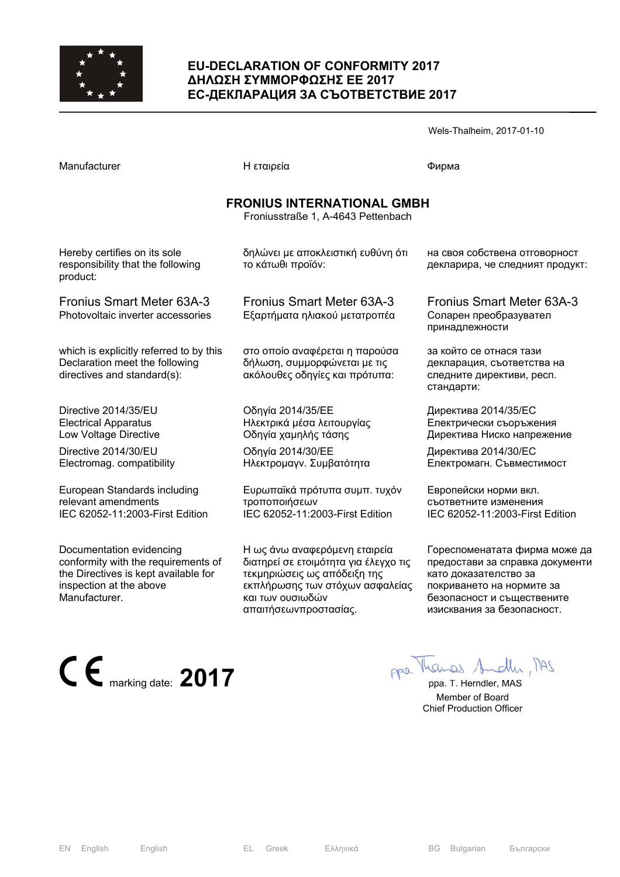

### **EU-DECLARATION OF CONFORMITY 2017 ∆ΗΛΩΣΗ ΣΥΜΜΟΡΦΩΣΗΣ ΕΕ 2017 ЕС-ДЕКЛАРАЦИЯ ЗА СЪОТВЕТСТВИЕ 2017**

| Manufacturer                                                                                             | Η εταιρεία                                                                                       | Фирма                                                                                            |  |
|----------------------------------------------------------------------------------------------------------|--------------------------------------------------------------------------------------------------|--------------------------------------------------------------------------------------------------|--|
| <b>FRONIUS INTERNATIONAL GMBH</b><br>Froniusstraße 1, A-4643 Pettenbach                                  |                                                                                                  |                                                                                                  |  |
| Hereby certifies on its sole<br>responsibility that the following<br>product:                            | δηλώνει με αποκλειστική ευθύνη ότι<br>το κάτωθι προϊόν:                                          | на своя собствена отговорност<br>декларира, че следният продукт:                                 |  |
| Fronius Smart Meter 63A-3<br>Photovoltaic inverter accessories                                           | Fronius Smart Meter 63A-3<br>Εξαρτήματα ηλιακού μετατροπέα                                       | Fronius Smart Meter 63A-3<br>Соларен преобразувател<br>принадлежности                            |  |
| which is explicitly referred to by this<br>Declaration meet the following<br>directives and standard(s): | στο οποίο αναφέρεται η παρούσα<br>δήλωση, συμμορφώνεται με τις<br>ακόλουθες οδηγίες και πρότυπα: | за който се отнася тази<br>декларация, съответства на<br>следните директиви, респ.<br>стандарти: |  |
| Directive 2014/35/EU<br><b>Electrical Apparatus</b><br>Low Voltage Directive                             | Οδηγία 2014/35/ΕΕ<br>Ηλεκτρικά μέσα λειτουργίας<br>Οδηγία χαμηλής τάσης                          | Директива 2014/35/ЕС<br>Електрически съоръжения<br>Директива Ниско напрежение                    |  |
| Directive 2014/30/EU<br>Electromag. compatibility                                                        | Οδηγία 2014/30/ΕΕ<br>Ηλεκτρομαγν. Συμβατότητα                                                    | Директива 2014/30/ЕС<br>Електромагн. Съвместимост                                                |  |
| European Standards including<br>relevant amendments<br>IEC 62052-11:2003-First Edition                   | Ευρωπαϊκά πρότυπα συμπ. τυχόν<br>τροποποιήσεων<br>IEC 62052-11:2003-First Edition                | Европейски норми вкл.<br>съответните изменения<br>IEC 62052-11:2003-First Edition                |  |

Documentation evidencing conformity with the requirements of the Directives is kept available for inspection at the above Manufacturer.

Η ως άνω αναφερόμενη εταιρεία διατηρεί σε ετοιμότητα για έλεγχο τις τεκμηριώσεις ως απόδειξη της εκπλήρωσης των στόχων ασφαλείας και των ουσιωδών απαιτήσεωνπροστασίας.

Гореспоменатата фирма може да предостави за справка документи като доказателство за покриването на нормите за безопасност и съществените изисквания за безопасност.

Wels-Thalheim, 2017-01-10

**CE** marking date: **2017 ppa.** The Manual Andly MAS

 Member of Board Chief Production Officer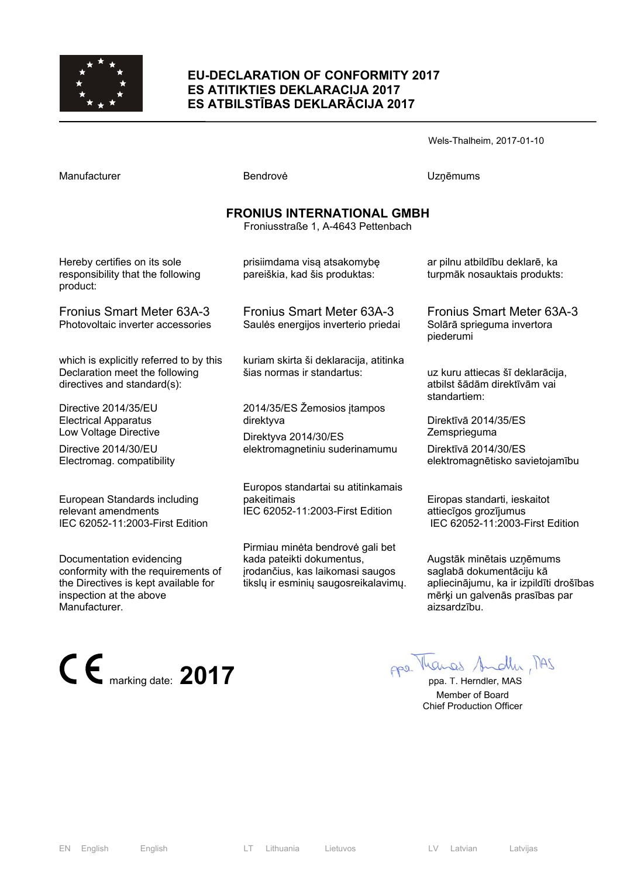

#### **EU-DECLARATION OF CONFORMITY 2017 ES ATITIKTIES DEKLARACIJA 2017 ES ATBILSTĪBAS DEKLARĀCIJA 2017**

Wels-Thalheim, 2017-01-10

Manufacturer **Manufacturer Execute Uzņēmums** Bendrovė **V**zņēmums

# **FRONIUS INTERNATIONAL GMBH**

Froniusstraße 1, A-4643 Pettenbach

Hereby certifies on its sole responsibility that the following product:

Fronius Smart Meter 63A-3 Photovoltaic inverter accessories

which is explicitly referred to by this Declaration meet the following directives and standard(s):

Directive 2014/35/EU Electrical Apparatus Low Voltage Directive

Directive 2014/30/EU Electromag. compatibility

European Standards including relevant amendments IEC 62052-11:2003-First Edition

Documentation evidencing conformity with the requirements of the Directives is kept available for inspection at the above Manufacturer.

pareiškia, kad šis produktas:

prisiimdama visą atsakomybę

Fronius Smart Meter 63A-3 Saulės energijos inverterio priedai

kuriam skirta ši deklaracija, atitinka šias normas ir standartus:

2014/35/ES Žemosios įtampos direktyva

Direktyva 2014/30/ES elektromagnetiniu suderinamumu

Europos standartai su atitinkamais pakeitimais IEC 62052-11:2003-First Edition

Pirmiau minėta bendrovė gali bet kada pateikti dokumentus, įrodančius, kas laikomasi saugos tikslų ir esminių saugosreikalavimų. ar pilnu atbildību deklarē, ka turpmāk nosauktais produkts:

Fronius Smart Meter 63A-3 Solārā sprieguma invertora piederumi

uz kuru attiecas šī deklarācija, atbilst šādām direktīvām vai standartiem:

Direktīvā 2014/35/ES **Zemsprieguma** 

Direktīvā 2014/30/ES elektromagnētisko savietojamību

Eiropas standarti, ieskaitot attiecīgos grozījumus IEC 62052-11:2003-First Edition

Augstāk minētais uzņēmums saglabā dokumentāciju kā apliecinājumu, ka ir izpildīti drošības mērķi un galvenās prasības par aizsardzību.



 Member of Board Chief Production Officer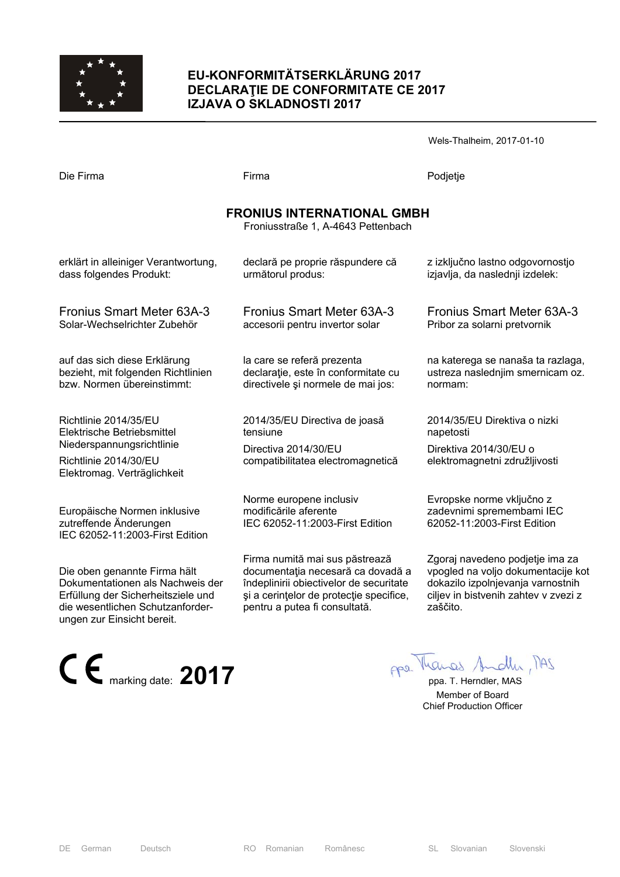

## **EU-KONFORMITÄTSERKLÄRUNG 2017 DECLARAŢIE DE CONFORMITATE CE 2017 IZJAVA O SKLADNOSTI 2017**

Wels-Thalheim, 2017-01-10

| Die Firma | Firma | Podjetje |
|-----------|-------|----------|
|           |       |          |

### **FRONIUS INTERNATIONAL GMBH**

Froniusstraße 1, A-4643 Pettenbach

erklärt in alleiniger Verantwortung, dass folgendes Produkt:

Fronius Smart Meter 63A-3 Solar-Wechselrichter Zubehör

auf das sich diese Erklärung bezieht, mit folgenden Richtlinien bzw. Normen übereinstimmt:

Richtlinie 2014/35/EU Elektrische Betriebsmittel Niederspannungsrichtlinie

Richtlinie 2014/30/EU Elektromag. Verträglichkeit

Europäische Normen inklusive zutreffende Änderungen IEC 62052-11:2003-First Edition

Die oben genannte Firma hält Dokumentationen als Nachweis der Erfüllung der Sicherheitsziele und die wesentlichen Schutzanforderungen zur Einsicht bereit.



Fronius Smart Meter 63A-3 accesorii pentru invertor solar

declară pe proprie răspundere că

următorul produs:

la care se referă prezenta declarație, este în conformitate cu directivele şi normele de mai jos:

2014/35/EU Directiva de joasă tensiune

Directiva 2014/30/EU compatibilitatea electromagnetică

Norme europene inclusiv modificările aferente IEC 62052-11:2003-First Edition

Firma numită mai sus păstrează documentaţia necesară ca dovadă a îndeplinirii obiectivelor de securitate şi a cerinţelor de protecţie specifice, pentru a putea fi consultată.

z izključno lastno odgovornostjo izjavlja, da naslednji izdelek:

Fronius Smart Meter 63A-3 Pribor za solarni pretvornik

na katerega se nanaša ta razlaga, ustreza naslednjim smernicam oz. normam:

2014/35/EU Direktiva o nizki napetosti

Direktiva 2014/30/EU o elektromagnetni združljivosti

Evropske norme vključno z zadevnimi spremembami IEC 62052-11:2003-First Edition

Zgoraj navedeno podjetje ima za vpogled na voljo dokumentacije kot dokazilo izpolnjevanja varnostnih ciljev in bistvenih zahtev v zvezi z zaščito.

 Member of Board Chief Production Officer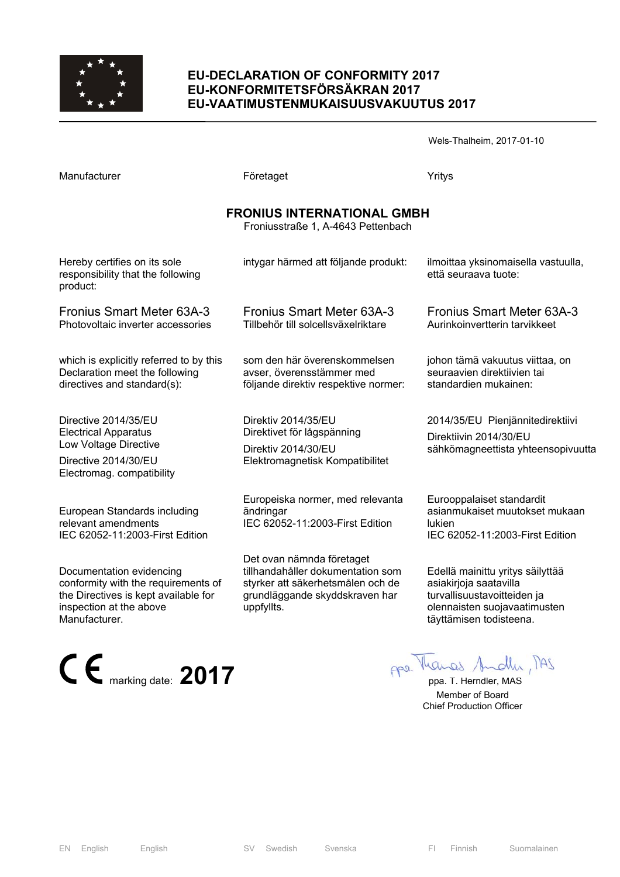

### **EU-DECLARATION OF CONFORMITY 2017 EU-KONFORMITETSFÖRSÄKRAN 2017 EU-VAATIMUSTENMUKAISUUSVAKUUTUS 2017**

Wels-Thalheim, 2017-01-10

| Manufacturer                                                                                                                      | Företaget                                                                                                                             | Yritys                                                                                                   |  |
|-----------------------------------------------------------------------------------------------------------------------------------|---------------------------------------------------------------------------------------------------------------------------------------|----------------------------------------------------------------------------------------------------------|--|
| <b>FRONIUS INTERNATIONAL GMBH</b><br>Froniusstraße 1, A-4643 Pettenbach                                                           |                                                                                                                                       |                                                                                                          |  |
| Hereby certifies on its sole<br>responsibility that the following<br>product:                                                     | intygar härmed att följande produkt:                                                                                                  | ilmoittaa yksinomaisella vastuulla,<br>että seuraava tuote:                                              |  |
| <b>Fronius Smart Meter 63A-3</b><br>Photovoltaic inverter accessories                                                             | <b>Fronius Smart Meter 63A-3</b><br>Tillbehör till solcellsväxelriktare                                                               | <b>Fronius Smart Meter 63A-3</b><br>Aurinkoinvertterin tarvikkeet                                        |  |
| which is explicitly referred to by this<br>Declaration meet the following<br>directives and standard(s):                          | som den här överenskommelsen<br>avser, överensstämmer med<br>följande direktiv respektive normer:                                     | johon tämä vakuutus viittaa, on<br>seuraavien direktiivien tai<br>standardien mukainen:                  |  |
| Directive 2014/35/EU<br><b>Electrical Apparatus</b><br>Low Voltage Directive<br>Directive 2014/30/EU<br>Electromag. compatibility | Direktiv 2014/35/EU<br>Direktivet för lågspänning<br>Direktiv 2014/30/EU<br>Elektromagnetisk Kompatibilitet                           | 2014/35/EU Pienjännitedirektiivi<br>Direktiivin 2014/30/EU<br>sähkömagneettista yhteensopivuutta         |  |
| European Standards including<br>relevant amendments<br>IEC 62052-11:2003-First Edition                                            | Europeiska normer, med relevanta<br>ändringar<br>IEC 62052-11:2003-First Edition                                                      | Eurooppalaiset standardit<br>asianmukaiset muutokset mukaan<br>lukien<br>IEC 62052-11:2003-First Edition |  |
| Documentation evidencing<br>conformity with the requirements of<br>the Directives is kept available for                           | Det ovan nämnda företaget<br>tillhandahåller dokumentation som<br>styrker att säkerhetsmålen och de<br>grundläggande skyddskraven har | Edellä mainittu yritys säilyttää<br>asiakirjoja saatavilla<br>turvallisuustavoitteiden ja                |  |



inspection at the above

Manufacturer.

täyttämisen todisteena.

olennaisten suojavaatimusten

 Member of Board Chief Production Officer

uppfyllts.